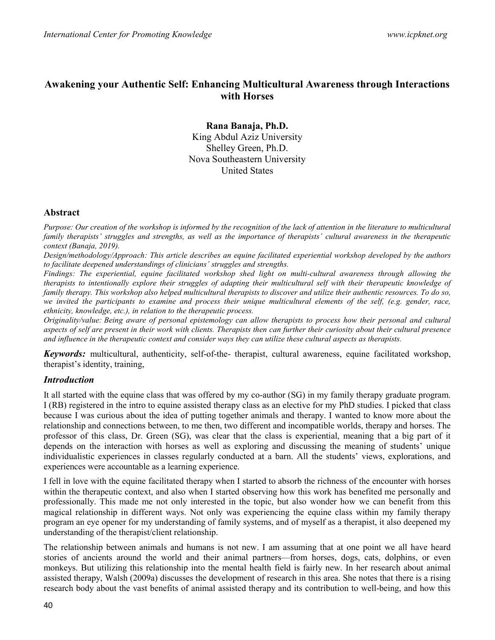# Awakening your Authentic Self: Enhancing Multicultural Awareness through Interactions with Horses

Rana Banaja, Ph.D. King Abdul Aziz University Shelley Green, Ph.D. Nova Southeastern University United States

#### Abstract

Purpose: Our creation of the workshop is informed by the recognition of the lack of attention in the literature to multicultural family therapists' struggles and strengths, as well as the importance of therapists' cultural awareness in the therapeutic context (Banaja, 2019).

Design/methodology/Approach: This article describes an equine facilitated experiential workshop developed by the authors to facilitate deepened understandings of clinicians' struggles and strengths.

Findings: The experiential, equine facilitated workshop shed light on multi-cultural awareness through allowing the therapists to intentionally explore their struggles of adapting their multicultural self with their therapeutic knowledge of family therapy. This workshop also helped multicultural therapists to discover and utilize their authentic resources. To do so, we invited the participants to examine and process their unique multicultural elements of the self, (e.g. gender, race, ethnicity, knowledge, etc.), in relation to the therapeutic process.

Originality/value: Being aware of personal epistemology can allow therapists to process how their personal and cultural aspects of self are present in their work with clients. Therapists then can further their curiosity about their cultural presence and influence in the therapeutic context and consider ways they can utilize these cultural aspects as therapists.

Keywords: multicultural, authenticity, self-of-the- therapist, cultural awareness, equine facilitated workshop, therapist's identity, training,

### Introduction

It all started with the equine class that was offered by my co-author (SG) in my family therapy graduate program. I (RB) registered in the intro to equine assisted therapy class as an elective for my PhD studies. I picked that class because I was curious about the idea of putting together animals and therapy. I wanted to know more about the relationship and connections between, to me then, two different and incompatible worlds, therapy and horses. The professor of this class, Dr. Green (SG), was clear that the class is experiential, meaning that a big part of it depends on the interaction with horses as well as exploring and discussing the meaning of students' unique individualistic experiences in classes regularly conducted at a barn. All the students' views, explorations, and experiences were accountable as a learning experience.

I fell in love with the equine facilitated therapy when I started to absorb the richness of the encounter with horses within the therapeutic context, and also when I started observing how this work has benefited me personally and professionally. This made me not only interested in the topic, but also wonder how we can benefit from this magical relationship in different ways. Not only was experiencing the equine class within my family therapy program an eye opener for my understanding of family systems, and of myself as a therapist, it also deepened my understanding of the therapist/client relationship.

The relationship between animals and humans is not new. I am assuming that at one point we all have heard stories of ancients around the world and their animal partners—from horses, dogs, cats, dolphins, or even monkeys. But utilizing this relationship into the mental health field is fairly new. In her research about animal assisted therapy, Walsh (2009a) discusses the development of research in this area. She notes that there is a rising research body about the vast benefits of animal assisted therapy and its contribution to well-being, and how this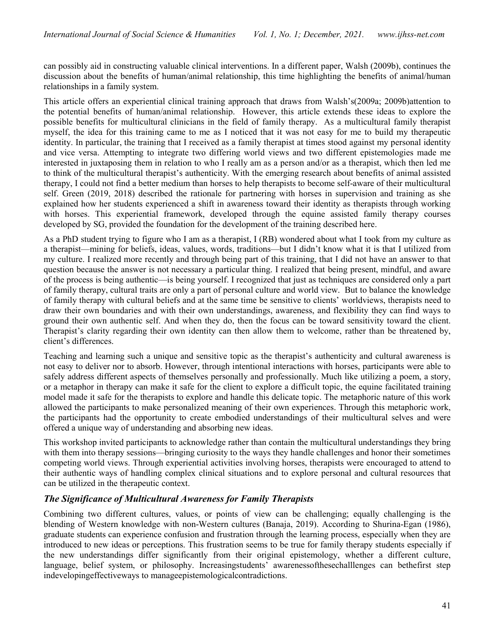can possibly aid in constructing valuable clinical interventions. In a different paper, Walsh (2009b), continues the discussion about the benefits of human/animal relationship, this time highlighting the benefits of animal/human relationships in a family system.

This article offers an experiential clinical training approach that draws from Walsh's(2009a; 2009b)attention to the potential benefits of human/animal relationship. However, this article extends these ideas to explore the possible benefits for multicultural clinicians in the field of family therapy. As a multicultural family therapist myself, the idea for this training came to me as I noticed that it was not easy for me to build my therapeutic identity. In particular, the training that I received as a family therapist at times stood against my personal identity and vice versa. Attempting to integrate two differing world views and two different epistemologies made me interested in juxtaposing them in relation to who I really am as a person and/or as a therapist, which then led me to think of the multicultural therapist's authenticity. With the emerging research about benefits of animal assisted therapy, I could not find a better medium than horses to help therapists to become self-aware of their multicultural self. Green (2019, 2018) described the rationale for partnering with horses in supervision and training as she explained how her students experienced a shift in awareness toward their identity as therapists through working with horses. This experiential framework, developed through the equine assisted family therapy courses developed by SG, provided the foundation for the development of the training described here.

As a PhD student trying to figure who I am as a therapist, I (RB) wondered about what I took from my culture as a therapist—mining for beliefs, ideas, values, words, traditions—but I didn't know what it is that I utilized from my culture. I realized more recently and through being part of this training, that I did not have an answer to that question because the answer is not necessary a particular thing. I realized that being present, mindful, and aware of the process is being authentic—is being yourself. I recognized that just as techniques are considered only a part of family therapy, cultural traits are only a part of personal culture and world view. But to balance the knowledge of family therapy with cultural beliefs and at the same time be sensitive to clients' worldviews, therapists need to draw their own boundaries and with their own understandings, awareness, and flexibility they can find ways to ground their own authentic self. And when they do, then the focus can be toward sensitivity toward the client. Therapist's clarity regarding their own identity can then allow them to welcome, rather than be threatened by, client's differences.

Teaching and learning such a unique and sensitive topic as the therapist's authenticity and cultural awareness is not easy to deliver nor to absorb. However, through intentional interactions with horses, participants were able to safely address different aspects of themselves personally and professionally. Much like utilizing a poem, a story, or a metaphor in therapy can make it safe for the client to explore a difficult topic, the equine facilitated training model made it safe for the therapists to explore and handle this delicate topic. The metaphoric nature of this work allowed the participants to make personalized meaning of their own experiences. Through this metaphoric work, the participants had the opportunity to create embodied understandings of their multicultural selves and were offered a unique way of understanding and absorbing new ideas.

This workshop invited participants to acknowledge rather than contain the multicultural understandings they bring with them into therapy sessions—bringing curiosity to the ways they handle challenges and honor their sometimes competing world views. Through experiential activities involving horses, therapists were encouraged to attend to their authentic ways of handling complex clinical situations and to explore personal and cultural resources that can be utilized in the therapeutic context.

### The Significance of Multicultural Awareness for Family Therapists

Combining two different cultures, values, or points of view can be challenging; equally challenging is the blending of Western knowledge with non-Western cultures (Banaja, 2019). According to Shurina-Egan (1986), graduate students can experience confusion and frustration through the learning process, especially when they are introduced to new ideas or perceptions. This frustration seems to be true for family therapy students especially if the new understandings differ significantly from their original epistemology, whether a different culture, language, belief system, or philosophy. Increasingstudents' awarenessofthesechalllenges can bethefirst step indevelopingeffectiveways to manageepistemologicalcontradictions.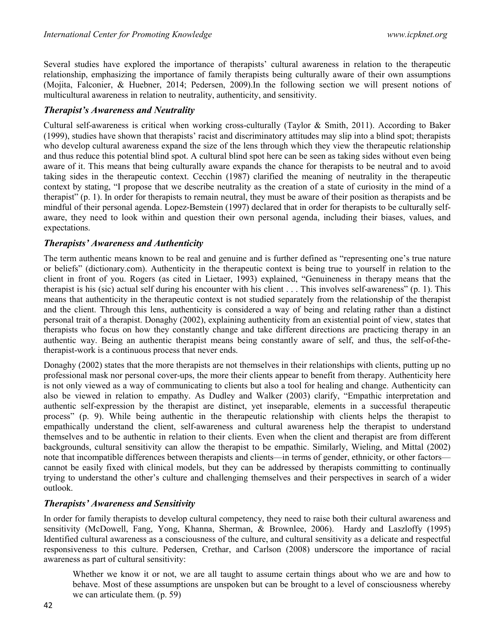Several studies have explored the importance of therapists' cultural awareness in relation to the therapeutic relationship, emphasizing the importance of family therapists being culturally aware of their own assumptions (Mojita, Falconier, & Huebner, 2014; Pedersen, 2009).In the following section we will present notions of multicultural awareness in relation to neutrality, authenticity, and sensitivity.

### Therapist's Awareness and Neutrality

Cultural self-awareness is critical when working cross-culturally (Taylor & Smith, 2011). According to Baker (1999), studies have shown that therapists' racist and discriminatory attitudes may slip into a blind spot; therapists who develop cultural awareness expand the size of the lens through which they view the therapeutic relationship and thus reduce this potential blind spot. A cultural blind spot here can be seen as taking sides without even being aware of it. This means that being culturally aware expands the chance for therapists to be neutral and to avoid taking sides in the therapeutic context. Cecchin (1987) clarified the meaning of neutrality in the therapeutic context by stating, "I propose that we describe neutrality as the creation of a state of curiosity in the mind of a therapist" (p. 1). In order for therapists to remain neutral, they must be aware of their position as therapists and be mindful of their personal agenda. Lopez-Bemstein (1997) declared that in order for therapists to be culturally selfaware, they need to look within and question their own personal agenda, including their biases, values, and expectations.

#### Therapists' Awareness and Authenticity

The term authentic means known to be real and genuine and is further defined as "representing one's true nature or beliefs" (dictionary.com). Authenticity in the therapeutic context is being true to yourself in relation to the client in front of you. Rogers (as cited in Lietaer, 1993) explained, "Genuineness in therapy means that the therapist is his (sic) actual self during his encounter with his client . . . This involves self-awareness" (p. 1). This means that authenticity in the therapeutic context is not studied separately from the relationship of the therapist and the client. Through this lens, authenticity is considered a way of being and relating rather than a distinct personal trait of a therapist. Donaghy (2002), explaining authenticity from an existential point of view, states that therapists who focus on how they constantly change and take different directions are practicing therapy in an authentic way. Being an authentic therapist means being constantly aware of self, and thus, the self-of-thetherapist-work is a continuous process that never ends.

Donaghy (2002) states that the more therapists are not themselves in their relationships with clients, putting up no professional mask nor personal cover-ups, the more their clients appear to benefit from therapy. Authenticity here is not only viewed as a way of communicating to clients but also a tool for healing and change. Authenticity can also be viewed in relation to empathy. As Dudley and Walker (2003) clarify, "Empathic interpretation and authentic self-expression by the therapist are distinct, yet inseparable, elements in a successful therapeutic process" (p. 9). While being authentic in the therapeutic relationship with clients helps the therapist to empathically understand the client, self-awareness and cultural awareness help the therapist to understand themselves and to be authentic in relation to their clients. Even when the client and therapist are from different backgrounds, cultural sensitivity can allow the therapist to be empathic. Similarly, Wieling, and Mittal (2002) note that incompatible differences between therapists and clients—in terms of gender, ethnicity, or other factors cannot be easily fixed with clinical models, but they can be addressed by therapists committing to continually trying to understand the other's culture and challenging themselves and their perspectives in search of a wider outlook.

### Therapists' Awareness and Sensitivity

In order for family therapists to develop cultural competency, they need to raise both their cultural awareness and sensitivity (McDowell, Fang, Yong, Khanna, Sherman, & Brownlee, 2006). Hardy and Laszloffy (1995) Identified cultural awareness as a consciousness of the culture, and cultural sensitivity as a delicate and respectful responsiveness to this culture. Pedersen, Crethar, and Carlson (2008) underscore the importance of racial awareness as part of cultural sensitivity:

Whether we know it or not, we are all taught to assume certain things about who we are and how to behave. Most of these assumptions are unspoken but can be brought to a level of consciousness whereby we can articulate them. (p. 59)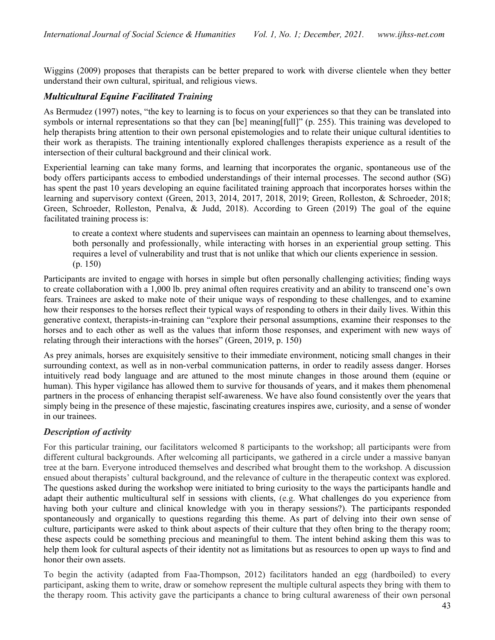Wiggins (2009) proposes that therapists can be better prepared to work with diverse clientele when they better understand their own cultural, spiritual, and religious views.

## Multicultural Equine Facilitated Training

As Bermudez (1997) notes, "the key to learning is to focus on your experiences so that they can be translated into symbols or internal representations so that they can [be] meaning[full]" (p. 255). This training was developed to help therapists bring attention to their own personal epistemologies and to relate their unique cultural identities to their work as therapists. The training intentionally explored challenges therapists experience as a result of the intersection of their cultural background and their clinical work.

Experiential learning can take many forms, and learning that incorporates the organic, spontaneous use of the body offers participants access to embodied understandings of their internal processes. The second author (SG) has spent the past 10 years developing an equine facilitated training approach that incorporates horses within the learning and supervisory context (Green, 2013, 2014, 2017, 2018, 2019; Green, Rolleston, & Schroeder, 2018; Green, Schroeder, Rolleston, Penalva, & Judd, 2018). According to Green (2019) The goal of the equine facilitated training process is:

to create a context where students and supervisees can maintain an openness to learning about themselves, both personally and professionally, while interacting with horses in an experiential group setting. This requires a level of vulnerability and trust that is not unlike that which our clients experience in session. (p. 150)

Participants are invited to engage with horses in simple but often personally challenging activities; finding ways to create collaboration with a 1,000 lb. prey animal often requires creativity and an ability to transcend one's own fears. Trainees are asked to make note of their unique ways of responding to these challenges, and to examine how their responses to the horses reflect their typical ways of responding to others in their daily lives. Within this generative context, therapists-in-training can "explore their personal assumptions, examine their responses to the horses and to each other as well as the values that inform those responses, and experiment with new ways of relating through their interactions with the horses" (Green, 2019, p. 150)

As prey animals, horses are exquisitely sensitive to their immediate environment, noticing small changes in their surrounding context, as well as in non-verbal communication patterns, in order to readily assess danger. Horses intuitively read body language and are attuned to the most minute changes in those around them (equine or human). This hyper vigilance has allowed them to survive for thousands of years, and it makes them phenomenal partners in the process of enhancing therapist self-awareness. We have also found consistently over the years that simply being in the presence of these majestic, fascinating creatures inspires awe, curiosity, and a sense of wonder in our trainees.

## Description of activity

For this particular training, our facilitators welcomed 8 participants to the workshop; all participants were from different cultural backgrounds. After welcoming all participants, we gathered in a circle under a massive banyan tree at the barn. Everyone introduced themselves and described what brought them to the workshop. A discussion ensued about therapists' cultural background, and the relevance of culture in the therapeutic context was explored. The questions asked during the workshop were initiated to bring curiosity to the ways the participants handle and adapt their authentic multicultural self in sessions with clients, (e.g. What challenges do you experience from having both your culture and clinical knowledge with you in therapy sessions?). The participants responded spontaneously and organically to questions regarding this theme. As part of delving into their own sense of culture, participants were asked to think about aspects of their culture that they often bring to the therapy room; these aspects could be something precious and meaningful to them. The intent behind asking them this was to help them look for cultural aspects of their identity not as limitations but as resources to open up ways to find and honor their own assets.

To begin the activity (adapted from Faa-Thompson, 2012) facilitators handed an egg (hardboiled) to every participant, asking them to write, draw or somehow represent the multiple cultural aspects they bring with them to the therapy room. This activity gave the participants a chance to bring cultural awareness of their own personal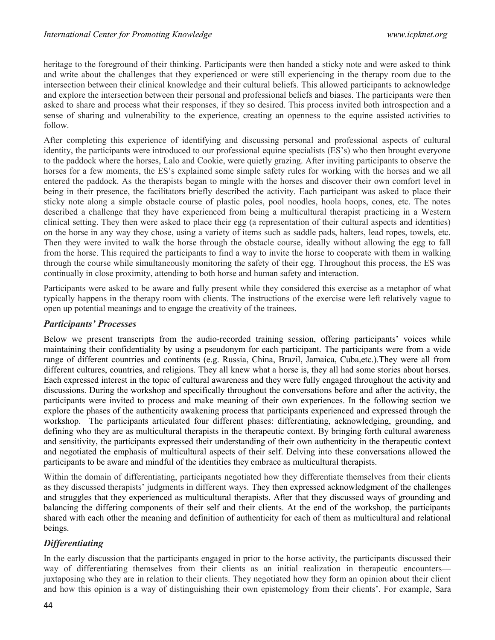heritage to the foreground of their thinking. Participants were then handed a sticky note and were asked to think and write about the challenges that they experienced or were still experiencing in the therapy room due to the intersection between their clinical knowledge and their cultural beliefs. This allowed participants to acknowledge and explore the intersection between their personal and professional beliefs and biases. The participants were then asked to share and process what their responses, if they so desired. This process invited both introspection and a sense of sharing and vulnerability to the experience, creating an openness to the equine assisted activities to follow.

After completing this experience of identifying and discussing personal and professional aspects of cultural identity, the participants were introduced to our professional equine specialists (ES's) who then brought everyone to the paddock where the horses, Lalo and Cookie, were quietly grazing. After inviting participants to observe the horses for a few moments, the ES's explained some simple safety rules for working with the horses and we all entered the paddock. As the therapists began to mingle with the horses and discover their own comfort level in being in their presence, the facilitators briefly described the activity. Each participant was asked to place their sticky note along a simple obstacle course of plastic poles, pool noodles, hoola hoops, cones, etc. The notes described a challenge that they have experienced from being a multicultural therapist practicing in a Western clinical setting. They then were asked to place their egg (a representation of their cultural aspects and identities) on the horse in any way they chose, using a variety of items such as saddle pads, halters, lead ropes, towels, etc. Then they were invited to walk the horse through the obstacle course, ideally without allowing the egg to fall from the horse. This required the participants to find a way to invite the horse to cooperate with them in walking through the course while simultaneously monitoring the safety of their egg. Throughout this process, the ES was continually in close proximity, attending to both horse and human safety and interaction.

Participants were asked to be aware and fully present while they considered this exercise as a metaphor of what typically happens in the therapy room with clients. The instructions of the exercise were left relatively vague to open up potential meanings and to engage the creativity of the trainees.

### Participants' Processes

Below we present transcripts from the audio-recorded training session, offering participants' voices while maintaining their confidentiality by using a pseudonym for each participant. The participants were from a wide range of different countries and continents (e.g. Russia, China, Brazil, Jamaica, Cuba,etc.).They were all from different cultures, countries, and religions. They all knew what a horse is, they all had some stories about horses. Each expressed interest in the topic of cultural awareness and they were fully engaged throughout the activity and discussions. During the workshop and specifically throughout the conversations before and after the activity, the participants were invited to process and make meaning of their own experiences. In the following section we explore the phases of the authenticity awakening process that participants experienced and expressed through the workshop. The participants articulated four different phases: differentiating, acknowledging, grounding, and defining who they are as multicultural therapists in the therapeutic context. By bringing forth cultural awareness and sensitivity, the participants expressed their understanding of their own authenticity in the therapeutic context and negotiated the emphasis of multicultural aspects of their self. Delving into these conversations allowed the participants to be aware and mindful of the identities they embrace as multicultural therapists.

Within the domain of differentiating, participants negotiated how they differentiate themselves from their clients as they discussed therapists' judgments in different ways. They then expressed acknowledgment of the challenges and struggles that they experienced as multicultural therapists. After that they discussed ways of grounding and balancing the differing components of their self and their clients. At the end of the workshop, the participants shared with each other the meaning and definition of authenticity for each of them as multicultural and relational beings.

## **Differentiating**

In the early discussion that the participants engaged in prior to the horse activity, the participants discussed their way of differentiating themselves from their clients as an initial realization in therapeutic encounters juxtaposing who they are in relation to their clients. They negotiated how they form an opinion about their client and how this opinion is a way of distinguishing their own epistemology from their clients'. For example, Sara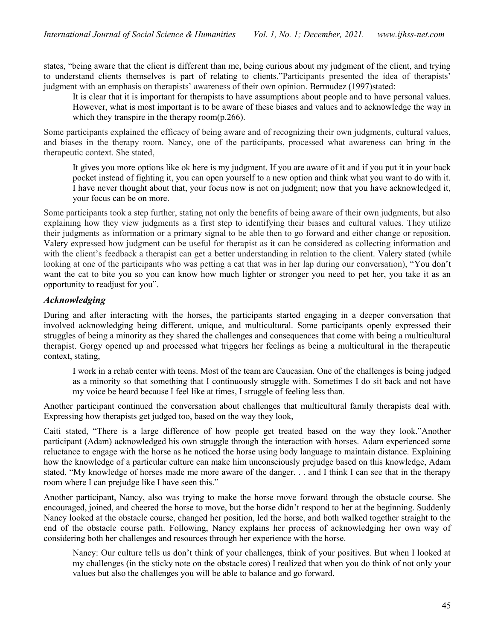states, "being aware that the client is different than me, being curious about my judgment of the client, and trying to understand clients themselves is part of relating to clients."Participants presented the idea of therapists' judgment with an emphasis on therapists' awareness of their own opinion. Bermudez (1997)stated:

It is clear that it is important for therapists to have assumptions about people and to have personal values. However, what is most important is to be aware of these biases and values and to acknowledge the way in which they transpire in the therapy room(p.266).

Some participants explained the efficacy of being aware and of recognizing their own judgments, cultural values, and biases in the therapy room. Nancy, one of the participants, processed what awareness can bring in the therapeutic context. She stated,

It gives you more options like ok here is my judgment. If you are aware of it and if you put it in your back pocket instead of fighting it, you can open yourself to a new option and think what you want to do with it. I have never thought about that, your focus now is not on judgment; now that you have acknowledged it, your focus can be on more.

Some participants took a step further, stating not only the benefits of being aware of their own judgments, but also explaining how they view judgments as a first step to identifying their biases and cultural values. They utilize their judgments as information or a primary signal to be able then to go forward and either change or reposition. Valery expressed how judgment can be useful for therapist as it can be considered as collecting information and with the client's feedback a therapist can get a better understanding in relation to the client. Valery stated (while looking at one of the participants who was petting a cat that was in her lap during our conversation), "You don't want the cat to bite you so you can know how much lighter or stronger you need to pet her, you take it as an opportunity to readjust for you".

## **Acknowledging**

During and after interacting with the horses, the participants started engaging in a deeper conversation that involved acknowledging being different, unique, and multicultural. Some participants openly expressed their struggles of being a minority as they shared the challenges and consequences that come with being a multicultural therapist. Gorgy opened up and processed what triggers her feelings as being a multicultural in the therapeutic context, stating,

I work in a rehab center with teens. Most of the team are Caucasian. One of the challenges is being judged as a minority so that something that I continuously struggle with. Sometimes I do sit back and not have my voice be heard because I feel like at times, I struggle of feeling less than.

Another participant continued the conversation about challenges that multicultural family therapists deal with. Expressing how therapists get judged too, based on the way they look,

Caiti stated, "There is a large difference of how people get treated based on the way they look."Another participant (Adam) acknowledged his own struggle through the interaction with horses. Adam experienced some reluctance to engage with the horse as he noticed the horse using body language to maintain distance. Explaining how the knowledge of a particular culture can make him unconsciously prejudge based on this knowledge, Adam stated, "My knowledge of horses made me more aware of the danger. . . and I think I can see that in the therapy room where I can prejudge like I have seen this."

Another participant, Nancy, also was trying to make the horse move forward through the obstacle course. She encouraged, joined, and cheered the horse to move, but the horse didn't respond to her at the beginning. Suddenly Nancy looked at the obstacle course, changed her position, led the horse, and both walked together straight to the end of the obstacle course path. Following, Nancy explains her process of acknowledging her own way of considering both her challenges and resources through her experience with the horse.

Nancy: Our culture tells us don't think of your challenges, think of your positives. But when I looked at my challenges (in the sticky note on the obstacle cores) I realized that when you do think of not only your values but also the challenges you will be able to balance and go forward.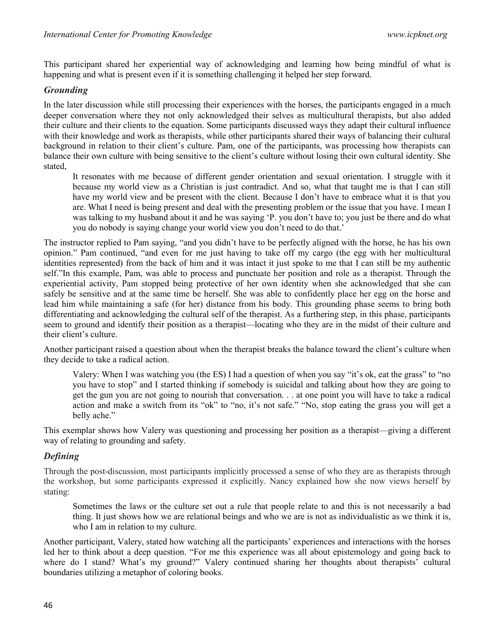This participant shared her experiential way of acknowledging and learning how being mindful of what is happening and what is present even if it is something challenging it helped her step forward.

### Grounding

In the later discussion while still processing their experiences with the horses, the participants engaged in a much deeper conversation where they not only acknowledged their selves as multicultural therapists, but also added their culture and their clients to the equation. Some participants discussed ways they adapt their cultural influence with their knowledge and work as therapists, while other participants shared their ways of balancing their cultural background in relation to their client's culture. Pam, one of the participants, was processing how therapists can balance their own culture with being sensitive to the client's culture without losing their own cultural identity. She stated,

It resonates with me because of different gender orientation and sexual orientation. I struggle with it because my world view as a Christian is just contradict. And so, what that taught me is that I can still have my world view and be present with the client. Because I don't have to embrace what it is that you are. What I need is being present and deal with the presenting problem or the issue that you have. I mean I was talking to my husband about it and he was saying 'P. you don't have to; you just be there and do what you do nobody is saying change your world view you don't need to do that.'

The instructor replied to Pam saying, "and you didn't have to be perfectly aligned with the horse, he has his own opinion." Pam continued, "and even for me just having to take off my cargo (the egg with her multicultural identities represented) from the back of him and it was intact it just spoke to me that I can still be my authentic self."In this example, Pam, was able to process and punctuate her position and role as a therapist. Through the experiential activity, Pam stopped being protective of her own identity when she acknowledged that she can safely be sensitive and at the same time be herself. She was able to confidently place her egg on the horse and lead him while maintaining a safe (for her) distance from his body. This grounding phase seems to bring both differentiating and acknowledging the cultural self of the therapist. As a furthering step, in this phase, participants seem to ground and identify their position as a therapist—locating who they are in the midst of their culture and their client's culture.

Another participant raised a question about when the therapist breaks the balance toward the client's culture when they decide to take a radical action.

Valery: When I was watching you (the ES) I had a question of when you say "it's ok, eat the grass" to "no you have to stop" and I started thinking if somebody is suicidal and talking about how they are going to get the gun you are not going to nourish that conversation. . . at one point you will have to take a radical action and make a switch from its "ok" to "no, it's not safe." "No, stop eating the grass you will get a belly ache."

This exemplar shows how Valery was questioning and processing her position as a therapist—giving a different way of relating to grounding and safety.

### Defining

Through the post-discussion, most participants implicitly processed a sense of who they are as therapists through the workshop, but some participants expressed it explicitly. Nancy explained how she now views herself by stating:

Sometimes the laws or the culture set out a rule that people relate to and this is not necessarily a bad thing. It just shows how we are relational beings and who we are is not as individualistic as we think it is, who I am in relation to my culture.

Another participant, Valery, stated how watching all the participants' experiences and interactions with the horses led her to think about a deep question. "For me this experience was all about epistemology and going back to where do I stand? What's my ground?" Valery continued sharing her thoughts about therapists' cultural boundaries utilizing a metaphor of coloring books.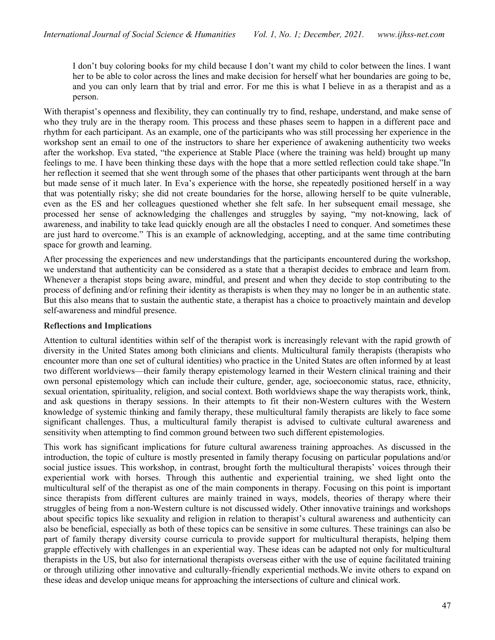I don't buy coloring books for my child because I don't want my child to color between the lines. I want her to be able to color across the lines and make decision for herself what her boundaries are going to be, and you can only learn that by trial and error. For me this is what I believe in as a therapist and as a person.

With therapist's openness and flexibility, they can continually try to find, reshape, understand, and make sense of who they truly are in the therapy room. This process and these phases seem to happen in a different pace and rhythm for each participant. As an example, one of the participants who was still processing her experience in the workshop sent an email to one of the instructors to share her experience of awakening authenticity two weeks after the workshop. Eva stated, "the experience at Stable Place (where the training was held) brought up many feelings to me. I have been thinking these days with the hope that a more settled reflection could take shape."In her reflection it seemed that she went through some of the phases that other participants went through at the barn but made sense of it much later. In Eva's experience with the horse, she repeatedly positioned herself in a way that was potentially risky; she did not create boundaries for the horse, allowing herself to be quite vulnerable, even as the ES and her colleagues questioned whether she felt safe. In her subsequent email message, she processed her sense of acknowledging the challenges and struggles by saying, "my not-knowing, lack of awareness, and inability to take lead quickly enough are all the obstacles I need to conquer. And sometimes these are just hard to overcome." This is an example of acknowledging, accepting, and at the same time contributing space for growth and learning.

After processing the experiences and new understandings that the participants encountered during the workshop, we understand that authenticity can be considered as a state that a therapist decides to embrace and learn from. Whenever a therapist stops being aware, mindful, and present and when they decide to stop contributing to the process of defining and/or refining their identity as therapists is when they may no longer be in an authentic state. But this also means that to sustain the authentic state, a therapist has a choice to proactively maintain and develop self-awareness and mindful presence.

#### Reflections and Implications

Attention to cultural identities within self of the therapist work is increasingly relevant with the rapid growth of diversity in the United States among both clinicians and clients. Multicultural family therapists (therapists who encounter more than one set of cultural identities) who practice in the United States are often informed by at least two different worldviews—their family therapy epistemology learned in their Western clinical training and their own personal epistemology which can include their culture, gender, age, socioeconomic status, race, ethnicity, sexual orientation, spirituality, religion, and social context. Both worldviews shape the way therapists work, think, and ask questions in therapy sessions. In their attempts to fit their non-Western cultures with the Western knowledge of systemic thinking and family therapy, these multicultural family therapists are likely to face some significant challenges. Thus, a multicultural family therapist is advised to cultivate cultural awareness and sensitivity when attempting to find common ground between two such different epistemologies.

This work has significant implications for future cultural awareness training approaches. As discussed in the introduction, the topic of culture is mostly presented in family therapy focusing on particular populations and/or social justice issues. This workshop, in contrast, brought forth the multicultural therapists' voices through their experiential work with horses. Through this authentic and experiential training, we shed light onto the multicultural self of the therapist as one of the main components in therapy. Focusing on this point is important since therapists from different cultures are mainly trained in ways, models, theories of therapy where their struggles of being from a non-Western culture is not discussed widely. Other innovative trainings and workshops about specific topics like sexuality and religion in relation to therapist's cultural awareness and authenticity can also be beneficial, especially as both of these topics can be sensitive in some cultures. These trainings can also be part of family therapy diversity course curricula to provide support for multicultural therapists, helping them grapple effectively with challenges in an experiential way. These ideas can be adapted not only for multicultural therapists in the US, but also for international therapists overseas either with the use of equine facilitated training or through utilizing other innovative and culturally-friendly experiential methods.We invite others to expand on these ideas and develop unique means for approaching the intersections of culture and clinical work.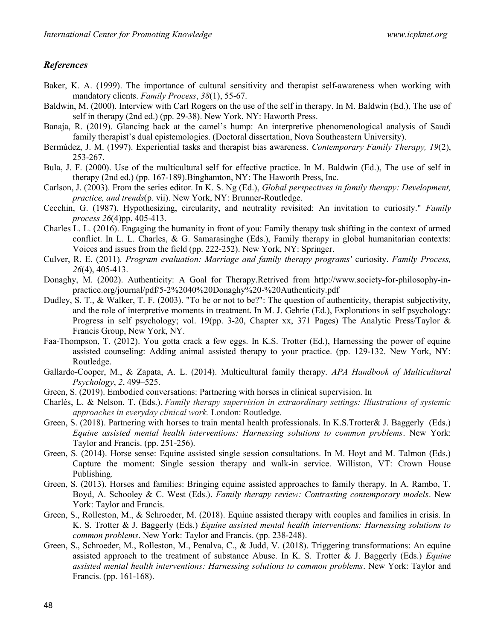#### **References**

- Baker, K. A. (1999). The importance of cultural sensitivity and therapist self-awareness when working with mandatory clients. Family Process, 38(1), 55-67.
- Baldwin, M. (2000). Interview with Carl Rogers on the use of the self in therapy. In M. Baldwin (Ed.), The use of self in therapy (2nd ed.) (pp. 29-38). New York, NY: Haworth Press.
- Banaja, R. (2019). Glancing back at the camel's hump: An interpretive phenomenological analysis of Saudi family therapist's dual epistemologies. (Doctoral dissertation, Nova Southeastern University).
- Bermúdez, J. M. (1997). Experiential tasks and therapist bias awareness. Contemporary Family Therapy, 19(2), 253-267.
- Bula, J. F. (2000). Use of the multicultural self for effective practice. In M. Baldwin (Ed.), The use of self in therapy (2nd ed.) (pp. 167-189).Binghamton, NY: The Haworth Press, Inc.
- Carlson, J. (2003). From the series editor. In K. S. Ng (Ed.), Global perspectives in family therapy: Development, practice, and trends(p. vii). New York, NY: Brunner-Routledge.
- Cecchin, G. (1987). Hypothesizing, circularity, and neutrality revisited: An invitation to curiosity." Family process 26(4)pp. 405-413.
- Charles L. L. (2016). Engaging the humanity in front of you: Family therapy task shifting in the context of armed conflict. In L. L. Charles, & G. Samarasinghe (Eds.), Family therapy in global humanitarian contexts: Voices and issues from the field (pp. 222-252). New York, NY: Springer.
- Culver, R. E. (2011). Program evaluation: Marriage and family therapy programs' curiosity. Family Process, 26(4), 405-413.
- Donaghy, M. (2002). Authenticity: A Goal for Therapy.Retrived from http://www.society-for-philosophy-inpractice.org/journal/pdf/5-2%2040%20Donaghy%20-%20Authenticity.pdf
- Dudley, S. T., & Walker, T. F. (2003). "To be or not to be?": The question of authenticity, therapist subjectivity, and the role of interpretive moments in treatment. In M. J. Gehrie (Ed.), Explorations in self psychology: Progress in self psychology; vol. 19(pp. 3-20, Chapter xx, 371 Pages) The Analytic Press/Taylor & Francis Group, New York, NY.
- Faa-Thompson, T. (2012). You gotta crack a few eggs. In K.S. Trotter (Ed.), Harnessing the power of equine assisted counseling: Adding animal assisted therapy to your practice. (pp. 129-132. New York, NY: Routledge.
- Gallardo-Cooper, M., & Zapata, A. L. (2014). Multicultural family therapy. APA Handbook of Multicultural Psychology, 2, 499–525.
- Green, S. (2019). Embodied conversations: Partnering with horses in clinical supervision. In
- Charlés, L. & Nelson, T. (Eds.). Family therapy supervision in extraordinary settings: Illustrations of systemic approaches in everyday clinical work. London: Routledge.
- Green, S. (2018). Partnering with horses to train mental health professionals. In K.S.Trotter& J. Baggerly (Eds.) Equine assisted mental health interventions: Harnessing solutions to common problems. New York: Taylor and Francis. (pp. 251-256).
- Green, S. (2014). Horse sense: Equine assisted single session consultations. In M. Hoyt and M. Talmon (Eds.) Capture the moment: Single session therapy and walk-in service. Williston, VT: Crown House Publishing.
- Green, S. (2013). Horses and families: Bringing equine assisted approaches to family therapy. In A. Rambo, T. Boyd, A. Schooley & C. West (Eds.). Family therapy review: Contrasting contemporary models. New York: Taylor and Francis.
- Green, S., Rolleston, M., & Schroeder, M. (2018). Equine assisted therapy with couples and families in crisis. In K. S. Trotter & J. Baggerly (Eds.) Equine assisted mental health interventions: Harnessing solutions to common problems. New York: Taylor and Francis. (pp. 238-248).
- Green, S., Schroeder, M., Rolleston, M., Penalva, C., & Judd, V. (2018). Triggering transformations: An equine assisted approach to the treatment of substance Abuse. In K. S. Trotter & J. Baggerly (Eds.) Equine assisted mental health interventions: Harnessing solutions to common problems. New York: Taylor and Francis. (pp. 161-168).